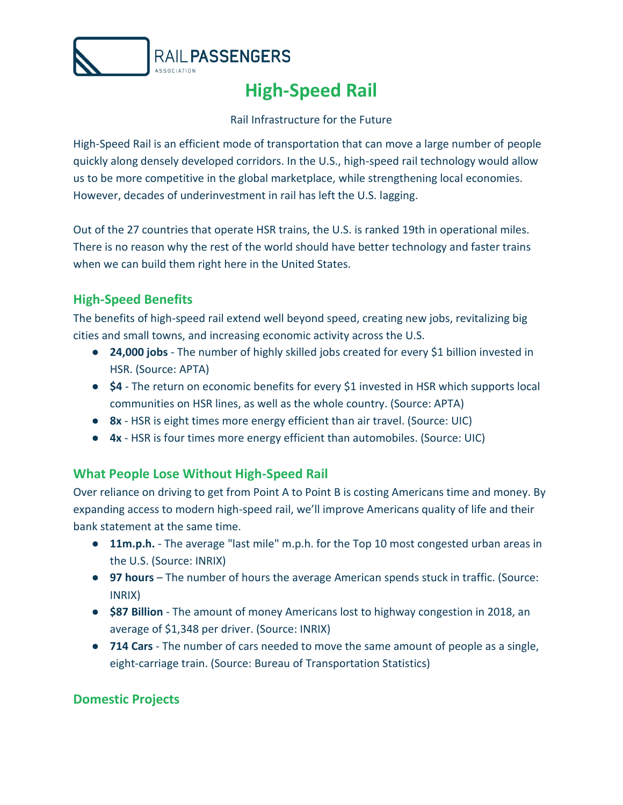

# **High-Speed Rail**

#### Rail Infrastructure for the Future

High-Speed Rail is an efficient mode of transportation that can move a large number of people quickly along densely developed corridors. In the U.S., high-speed rail technology would allow us to be more competitive in the global marketplace, while strengthening local economies. However, decades of underinvestment in rail has left the U.S. lagging.

Out of the 27 countries that operate HSR trains, the U.S. is ranked 19th in operational miles. There is no reason why the rest of the world should have better technology and faster trains when we can build them right here in the United States.

## **High-Speed Benefits**

The benefits of high-speed rail extend well beyond speed, creating new jobs, revitalizing big cities and small towns, and increasing economic activity across the U.S.

- **24,000 jobs**  The number of highly skilled jobs created for every \$1 billion invested in HSR. (Source: APTA)
- **\$4**  The return on economic benefits for every \$1 invested in HSR which supports local communities on HSR lines, as well as the whole country. (Source: APTA)
- **8x** HSR is eight times more energy efficient than air travel. (Source: UIC)
- **4x**  HSR is four times more energy efficient than automobiles. (Source: UIC)

## **What People Lose Without High-Speed Rail**

Over reliance on driving to get from Point A to Point B is costing Americans time and money. By expanding access to modern high-speed rail, we'll improve Americans quality of life and their bank statement at the same time.

- **11m.p.h.** The average "last mile" m.p.h. for the Top 10 most congested urban areas in the U.S. (Source: INRIX)
- **97 hours** The number of hours the average American spends stuck in traffic. (Source: INRIX)
- **\$87 Billion** The amount of money Americans lost to highway congestion in 2018, an average of \$1,348 per driver. (Source: INRIX)
- **714 Cars**  The number of cars needed to move the same amount of people as a single, eight-carriage train. (Source: Bureau of Transportation Statistics)

## **Domestic Projects**